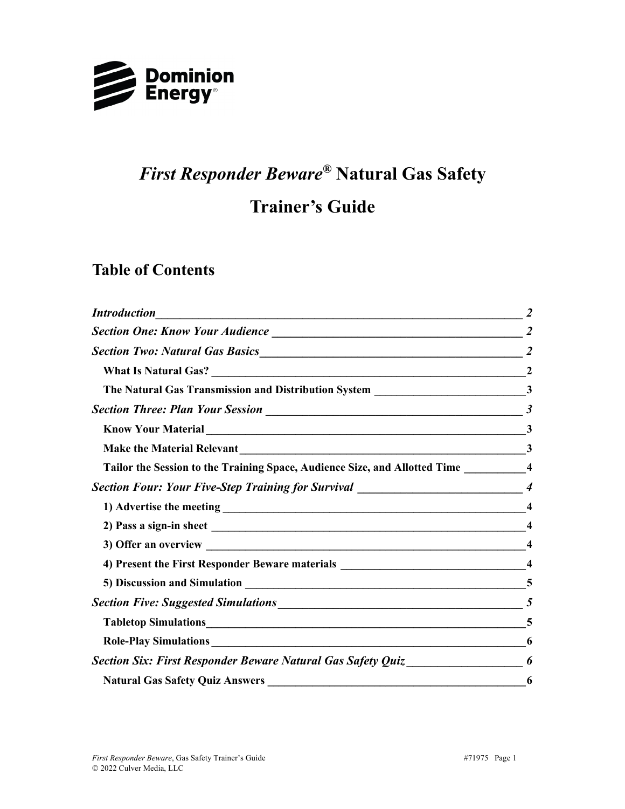

# *First Responder Beware®* **Natural Gas Safety**

# **Trainer's Guide**

## **Table of Contents**

| <b>Introduction</b>                                                                                                    |              |
|------------------------------------------------------------------------------------------------------------------------|--------------|
|                                                                                                                        |              |
|                                                                                                                        |              |
|                                                                                                                        |              |
| The Natural Gas Transmission and Distribution System _________________________________3                                |              |
|                                                                                                                        |              |
|                                                                                                                        |              |
|                                                                                                                        | $\mathbf{3}$ |
| Tailor the Session to the Training Space, Audience Size, and Allotted Time ____________4                               |              |
| Section Four: Your Five-Step Training for Survival ______________________________4                                     |              |
|                                                                                                                        |              |
|                                                                                                                        |              |
|                                                                                                                        |              |
| 4) Present the First Responder Beware materials _________________________________4                                     |              |
|                                                                                                                        |              |
|                                                                                                                        |              |
|                                                                                                                        |              |
|                                                                                                                        | 6            |
| <b>Section Six: First Responder Beware Natural Gas Safety Quiz</b> 1978 1978 1978 1979 1974 1975 1977 1978 1979 1979 1 | 6            |
| <b>Natural Gas Safety Quiz Answers</b>                                                                                 | 6            |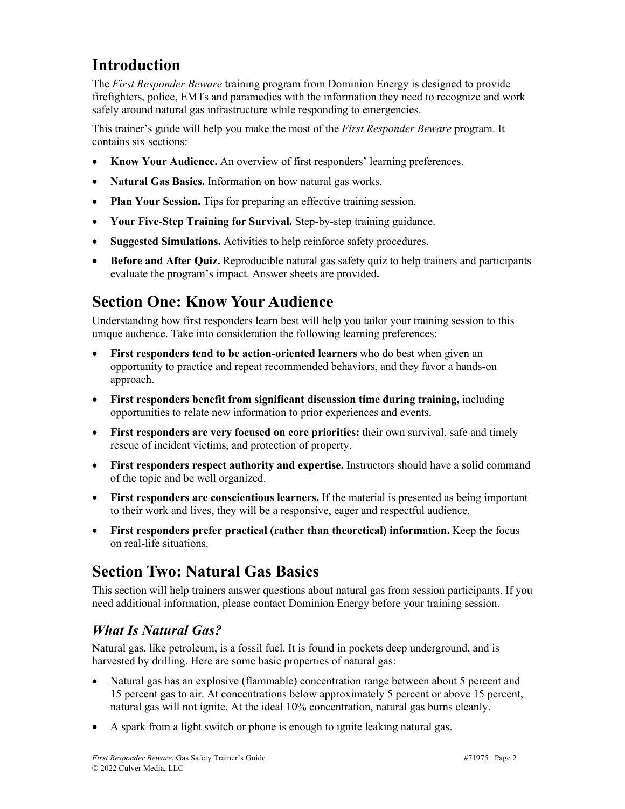# **Introduction**

The *First Responder Beware* training program from Dominion Energy is designed to provide firefighters, police, EMTs and paramedics with the information they need to recognize and work safely around natural gas infrastructure while responding to emergencies.

This trainer's guide will help you make the most of the *First Responder Beware* program. It contains six sections:

- **Know Your Audience.** An overview of first responders' learning preferences.
- **Natural Gas Basics.** Information on how natural gas works.
- **Plan Your Session.** Tips for preparing an effective training session.
- **Your Five-Step Training for Survival.** Step-by-step training guidance.
- **Suggested Simulations.** Activities to help reinforce safety procedures.
- **Before and After Quiz.** Reproducible natural gas safety quiz to help trainers and participants evaluate the program's impact. Answer sheets are provided**.**

# **Section One: Know Your Audience**

Understanding how first responders learn best will help you tailor your training session to this unique audience. Take into consideration the following learning preferences:

- **First responders tend to be action-oriented learners** who do best when given an opportunity to practice and repeat recommended behaviors, and they favor a hands-on approach.
- **First responders benefit from significant discussion time during training,** including opportunities to relate new information to prior experiences and events.
- **First responders are very focused on core priorities:** their own survival, safe and timely rescue of incident victims, and protection of property.
- **First responders respect authority and expertise.** Instructors should have a solid command of the topic and be well organized.
- **First responders are conscientious learners.** If the material is presented as being important to their work and lives, they will be a responsive, eager and respectful audience.
- **First responders prefer practical (rather than theoretical) information.** Keep the focus on real-life situations.

# **Section Two: Natural Gas Basics**

This section will help trainers answer questions about natural gas from session participants. If you need additional information, please contact Dominion Energy before your training session.

### *What Is Natural Gas?*

Natural gas, like petroleum, is a fossil fuel. It is found in pockets deep underground, and is harvested by drilling. Here are some basic properties of natural gas:

- Natural gas has an explosive (flammable) concentration range between about 5 percent and 15 percent gas to air. At concentrations below approximately 5 percent or above 15 percent, natural gas will not ignite. At the ideal 10% concentration, natural gas burns cleanly.
- A spark from a light switch or phone is enough to ignite leaking natural gas.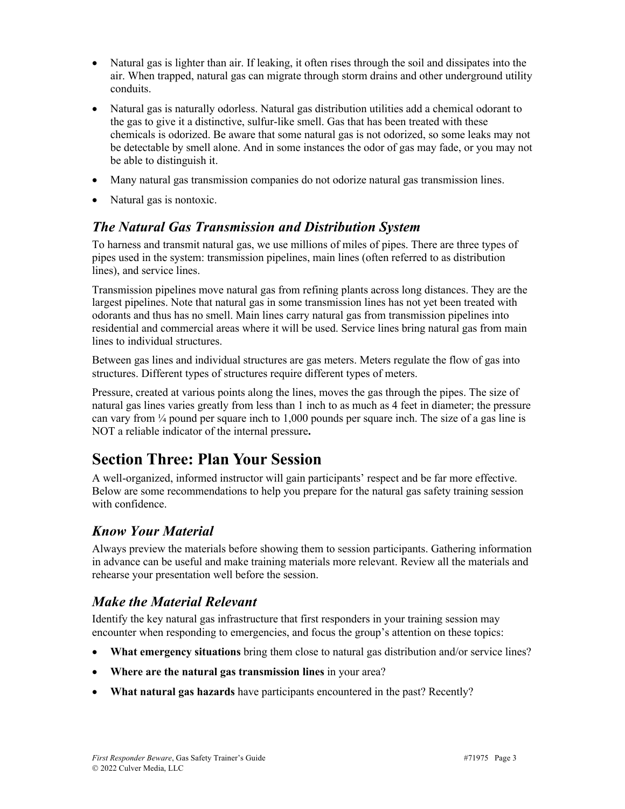- Natural gas is lighter than air. If leaking, it often rises through the soil and dissipates into the air. When trapped, natural gas can migrate through storm drains and other underground utility conduits.
- Natural gas is naturally odorless. Natural gas distribution utilities add a chemical odorant to the gas to give it a distinctive, sulfur-like smell. Gas that has been treated with these chemicals is odorized. Be aware that some natural gas is not odorized, so some leaks may not be detectable by smell alone. And in some instances the odor of gas may fade, or you may not be able to distinguish it.
- Many natural gas transmission companies do not odorize natural gas transmission lines.
- Natural gas is nontoxic.

#### *The Natural Gas Transmission and Distribution System*

To harness and transmit natural gas, we use millions of miles of pipes. There are three types of pipes used in the system: transmission pipelines, main lines (often referred to as distribution lines), and service lines.

Transmission pipelines move natural gas from refining plants across long distances. They are the largest pipelines. Note that natural gas in some transmission lines has not yet been treated with odorants and thus has no smell. Main lines carry natural gas from transmission pipelines into residential and commercial areas where it will be used. Service lines bring natural gas from main lines to individual structures.

Between gas lines and individual structures are gas meters. Meters regulate the flow of gas into structures. Different types of structures require different types of meters.

Pressure, created at various points along the lines, moves the gas through the pipes. The size of natural gas lines varies greatly from less than 1 inch to as much as 4 feet in diameter; the pressure can vary from  $\frac{1}{4}$  pound per square inch to 1,000 pounds per square inch. The size of a gas line is NOT a reliable indicator of the internal pressure**.**

## **Section Three: Plan Your Session**

A well-organized, informed instructor will gain participants' respect and be far more effective. Below are some recommendations to help you prepare for the natural gas safety training session with confidence.

#### *Know Your Material*

Always preview the materials before showing them to session participants. Gathering information in advance can be useful and make training materials more relevant. Review all the materials and rehearse your presentation well before the session.

#### *Make the Material Relevant*

Identify the key natural gas infrastructure that first responders in your training session may encounter when responding to emergencies, and focus the group's attention on these topics:

- **What emergency situations** bring them close to natural gas distribution and/or service lines?
- **Where are the natural gas transmission lines** in your area?
- **What natural gas hazards** have participants encountered in the past? Recently?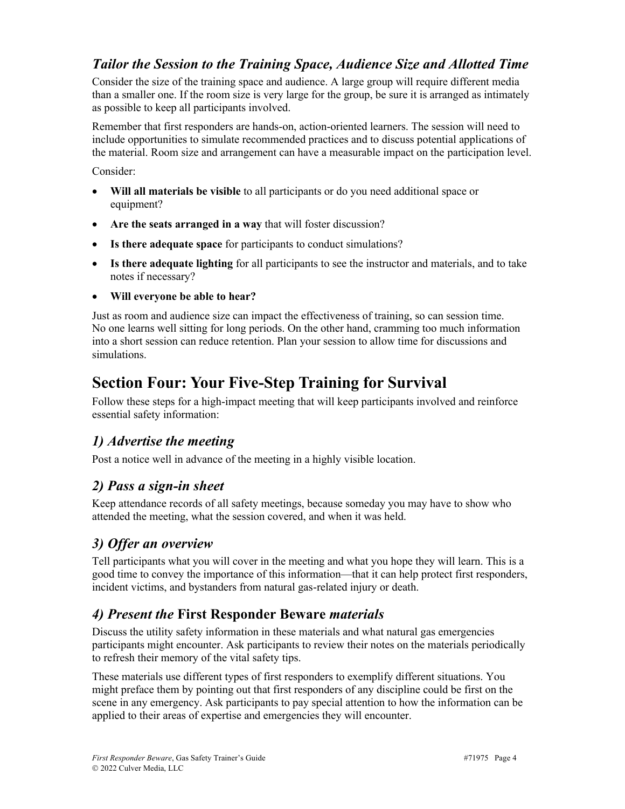## *Tailor the Session to the Training Space, Audience Size and Allotted Time*

Consider the size of the training space and audience. A large group will require different media than a smaller one. If the room size is very large for the group, be sure it is arranged as intimately as possible to keep all participants involved.

Remember that first responders are hands-on, action-oriented learners. The session will need to include opportunities to simulate recommended practices and to discuss potential applications of the material. Room size and arrangement can have a measurable impact on the participation level.

Consider:

- **Will all materials be visible** to all participants or do you need additional space or equipment?
- **Are the seats arranged in a way** that will foster discussion?
- **Is there adequate space** for participants to conduct simulations?
- **Is there adequate lighting** for all participants to see the instructor and materials, and to take notes if necessary?
- **Will everyone be able to hear?**

Just as room and audience size can impact the effectiveness of training, so can session time. No one learns well sitting for long periods. On the other hand, cramming too much information into a short session can reduce retention. Plan your session to allow time for discussions and simulations.

# **Section Four: Your Five-Step Training for Survival**

Follow these steps for a high-impact meeting that will keep participants involved and reinforce essential safety information:

## *1) Advertise the meeting*

Post a notice well in advance of the meeting in a highly visible location.

### *2) Pass a sign-in sheet*

Keep attendance records of all safety meetings, because someday you may have to show who attended the meeting, what the session covered, and when it was held.

### *3) Offer an overview*

Tell participants what you will cover in the meeting and what you hope they will learn. This is a good time to convey the importance of this information—that it can help protect first responders, incident victims, and bystanders from natural gas-related injury or death.

## *4) Present the* **First Responder Beware** *materials*

Discuss the utility safety information in these materials and what natural gas emergencies participants might encounter. Ask participants to review their notes on the materials periodically to refresh their memory of the vital safety tips.

These materials use different types of first responders to exemplify different situations. You might preface them by pointing out that first responders of any discipline could be first on the scene in any emergency. Ask participants to pay special attention to how the information can be applied to their areas of expertise and emergencies they will encounter.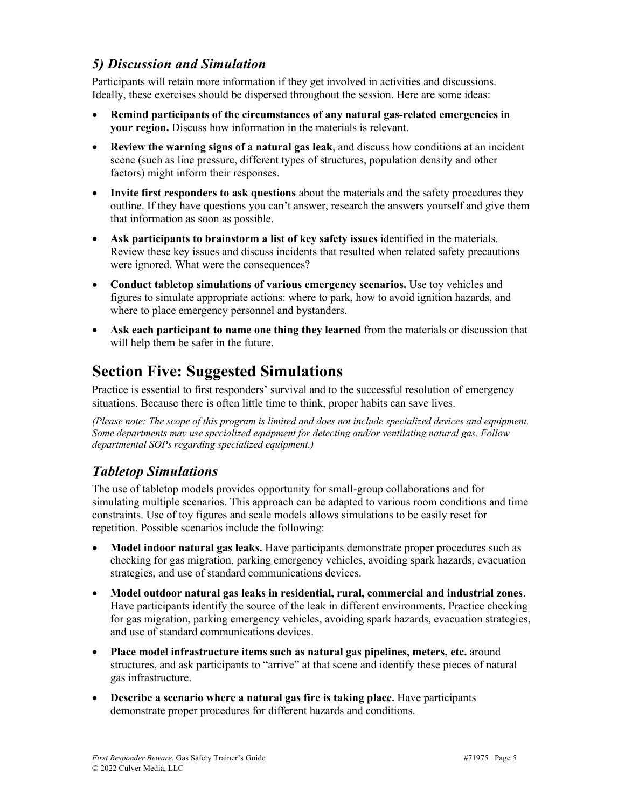#### *5) Discussion and Simulation*

Participants will retain more information if they get involved in activities and discussions. Ideally, these exercises should be dispersed throughout the session. Here are some ideas:

- **Remind participants of the circumstances of any natural gas-related emergencies in your region.** Discuss how information in the materials is relevant.
- **Review the warning signs of a natural gas leak**, and discuss how conditions at an incident scene (such as line pressure, different types of structures, population density and other factors) might inform their responses.
- **Invite first responders to ask questions** about the materials and the safety procedures they outline. If they have questions you can't answer, research the answers yourself and give them that information as soon as possible.
- **Ask participants to brainstorm a list of key safety issues** identified in the materials. Review these key issues and discuss incidents that resulted when related safety precautions were ignored. What were the consequences?
- **Conduct tabletop simulations of various emergency scenarios.** Use toy vehicles and figures to simulate appropriate actions: where to park, how to avoid ignition hazards, and where to place emergency personnel and bystanders.
- **Ask each participant to name one thing they learned** from the materials or discussion that will help them be safer in the future.

# **Section Five: Suggested Simulations**

Practice is essential to first responders' survival and to the successful resolution of emergency situations. Because there is often little time to think, proper habits can save lives.

*(Please note: The scope of this program is limited and does not include specialized devices and equipment. Some departments may use specialized equipment for detecting and/or ventilating natural gas. Follow departmental SOPs regarding specialized equipment.)*

## *Tabletop Simulations*

The use of tabletop models provides opportunity for small-group collaborations and for simulating multiple scenarios. This approach can be adapted to various room conditions and time constraints. Use of toy figures and scale models allows simulations to be easily reset for repetition. Possible scenarios include the following:

- **Model indoor natural gas leaks.** Have participants demonstrate proper procedures such as checking for gas migration, parking emergency vehicles, avoiding spark hazards, evacuation strategies, and use of standard communications devices.
- **Model outdoor natural gas leaks in residential, rural, commercial and industrial zones**. Have participants identify the source of the leak in different environments. Practice checking for gas migration, parking emergency vehicles, avoiding spark hazards, evacuation strategies, and use of standard communications devices.
- **Place model infrastructure items such as natural gas pipelines, meters, etc.** around structures, and ask participants to "arrive" at that scene and identify these pieces of natural gas infrastructure.
- **Describe a scenario where a natural gas fire is taking place.** Have participants demonstrate proper procedures for different hazards and conditions.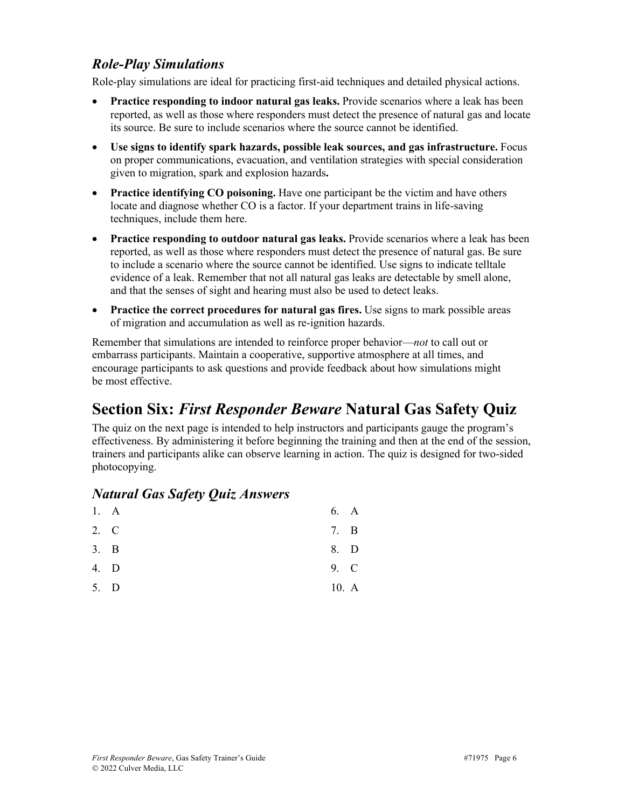#### *Role-Play Simulations*

Role-play simulations are ideal for practicing first-aid techniques and detailed physical actions.

- **Practice responding to indoor natural gas leaks.** Provide scenarios where a leak has been reported, as well as those where responders must detect the presence of natural gas and locate its source. Be sure to include scenarios where the source cannot be identified.
- **Use signs to identify spark hazards, possible leak sources, and gas infrastructure.** Focus on proper communications, evacuation, and ventilation strategies with special consideration given to migration, spark and explosion hazards**.**
- **Practice identifying CO poisoning.** Have one participant be the victim and have others locate and diagnose whether CO is a factor. If your department trains in life-saving techniques, include them here.
- **Practice responding to outdoor natural gas leaks.** Provide scenarios where a leak has been reported, as well as those where responders must detect the presence of natural gas. Be sure to include a scenario where the source cannot be identified. Use signs to indicate telltale evidence of a leak. Remember that not all natural gas leaks are detectable by smell alone, and that the senses of sight and hearing must also be used to detect leaks.
- **Practice the correct procedures for natural gas fires.** Use signs to mark possible areas of migration and accumulation as well as re-ignition hazards.

Remember that simulations are intended to reinforce proper behavior—*not* to call out or embarrass participants. Maintain a cooperative, supportive atmosphere at all times, and encourage participants to ask questions and provide feedback about how simulations might be most effective.

## **Section Six:** *First Responder Beware* **Natural Gas Safety Quiz**

The quiz on the next page is intended to help instructors and participants gauge the program's effectiveness. By administering it before beginning the training and then at the end of the session, trainers and participants alike can observe learning in action. The quiz is designed for two-sided photocopying.

#### *Natural Gas Safety Quiz Answers*

| 1. A | 6. A  |   |
|------|-------|---|
| 2. C | 7.    | B |
| 3. B | 8. D  |   |
| 4. D | 9. C  |   |
| 5. D | 10. A |   |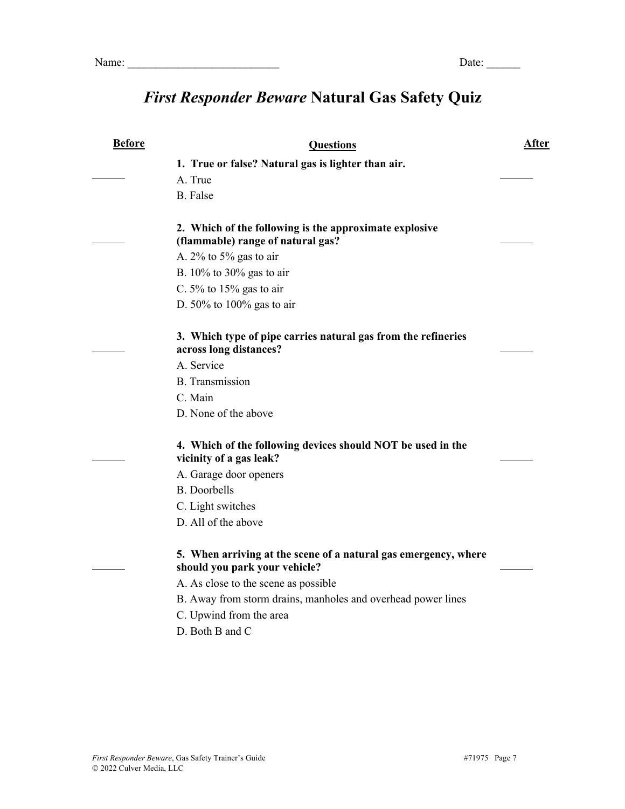# *First Responder Beware* **Natural Gas Safety Quiz**

| <b>Before</b> | <b>Questions</b>                                                                                 | <b>After</b> |
|---------------|--------------------------------------------------------------------------------------------------|--------------|
|               | 1. True or false? Natural gas is lighter than air.                                               |              |
|               | A. True                                                                                          |              |
|               | <b>B.</b> False                                                                                  |              |
|               | 2. Which of the following is the approximate explosive<br>(flammable) range of natural gas?      |              |
|               | A. $2\%$ to $5\%$ gas to air                                                                     |              |
|               | B. $10\%$ to 30% gas to air                                                                      |              |
|               | C. $5\%$ to $15\%$ gas to air                                                                    |              |
|               | D. $50\%$ to $100\%$ gas to air                                                                  |              |
|               | 3. Which type of pipe carries natural gas from the refineries<br>across long distances?          |              |
|               | A. Service                                                                                       |              |
|               | <b>B.</b> Transmission                                                                           |              |
|               | C. Main                                                                                          |              |
|               | D. None of the above                                                                             |              |
|               | 4. Which of the following devices should NOT be used in the<br>vicinity of a gas leak?           |              |
|               | A. Garage door openers                                                                           |              |
|               | <b>B.</b> Doorbells                                                                              |              |
|               | C. Light switches                                                                                |              |
|               | D. All of the above                                                                              |              |
|               | 5. When arriving at the scene of a natural gas emergency, where<br>should you park your vehicle? |              |
|               | A. As close to the scene as possible                                                             |              |
|               | B. Away from storm drains, manholes and overhead power lines                                     |              |
|               | C. Upwind from the area                                                                          |              |
|               | D. Both B and C                                                                                  |              |
|               |                                                                                                  |              |